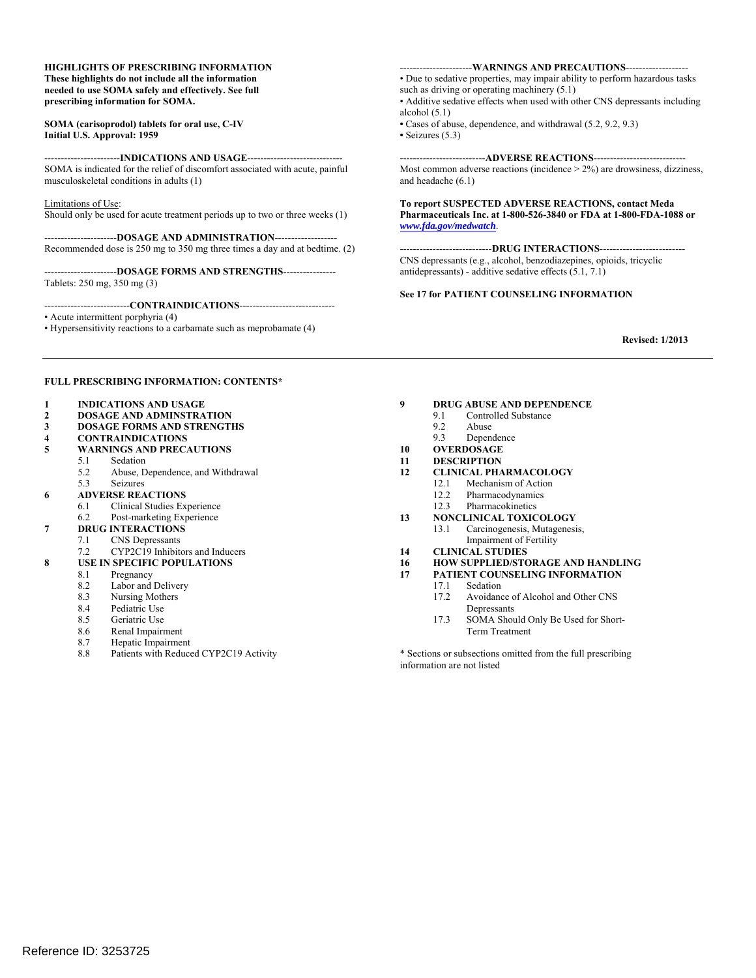#### **HIGHLIGHTS OF PRESCRIBING INFORMATION These highlights do not include all the information needed to use SOMA safely and effectively. See full prescribing information for SOMA.**

#### **SOMA (carisoprodol) tablets for oral use, C-IV Initial U.S. Approval: 1959**

-----------------------**INDICATIONS AND USAGE**----------------------------- SOMA is indicated for the relief of discomfort associated with acute, painful musculoskeletal conditions in adults (1)

Limitations of Use:

Should only be used for acute treatment periods up to two or three weeks (1)

----------------------**DOSAGE AND ADMINISTRATION**------------------- Recommended dose is 250 mg to 350 mg three times a day and at bedtime. (2)

 Tablets: 250 mg, 350 mg (3) ----------------------**DOSAGE FORMS AND STRENGTHS**---------------

--------------------------**CONTRAINDICATIONS**-----------------------------

• Acute intermittent porphyria (4)

• Hypersensitivity reactions to a carbamate such as meprobamate (4)

----------------------**WARNINGS AND PRECAUTIONS**------------------

such as driving or operating machinery  $(5.1)$ • Due to sedative properties, may impair ability to perform hazardous tasks

• Additive sedative effects when used with other CNS depressants including alcohol (5.1)

 **•** Cases of abuse, dependence, and withdrawal (5.2, 9.2, 9.3) **•** Seizures (5.3)

--------------------------**ADVERSE REACTIONS**---------------------------- Most common adverse reactions (incidence > 2%) are drowsiness, dizziness, and headache (6.1)

**To report SUSPECTED ADVERSE REACTIONS, contact Meda Pharmaceuticals Inc. at 1-800-526-3840 or FDA at 1-800-FDA-1088 or**  *www.fda.gov/medwatch*.

----------------------------**DRUG INTERACTIONS**-------------------------- CNS depressants (e.g., alcohol, benzodiazepines, opioids, tricyclic antidepressants) - additive sedative effects (5.1, 7.1)

#### **See 17 for PATIENT COUNSELING INFORMATION**

**Revised: 1/2013** 

#### **FULL PRESCRIBING INFORMATION: CONTENTS\***

#### **1 INDICATIONS AND USAGE**

- **2 DOSAGE AND ADMINSTRATION**
- **3 DOSAGE FORMS AND STRENGTHS**
- **4 CONTRAINDICATIONS**
- **5 WARNINGS AND PRECAUTIONS** 
	- **Sedation** 
		- 5.2 Abuse, Dependence, and Withdrawal
- 5.3 Seizures
- **6 ADVERSE REACTIONS** 
	- 6.1 Clinical Studies Experience
	- 6.2 Post-marketing Experience
- **7 DRUG INTERACTIONS** 
	- 7.1 CNS Depressants<br>7.2 CYP2C19 Inhibite CYP2C19 Inhibitors and Inducers
- **8 USE IN SPECIFIC POPULATIONS** 
	- 8.1 Pregnancy
		-
		- 8.2 Labor and Delivery<br>8.3 Nursing Mothers Nursing Mothers
		- 8.4 Pediatric Use
		- 8.5 Geriatric Use
		- 8.6 Renal Impairment
		- 8.7 Hepatic Impairment
	- 8.8 Patients with Reduced CYP2C19 Activity

# **9 DRUG ABUSE AND DEPENDENCE**<br>9.1 Controlled Substance

- 9.1 Controlled Substance<br>9.2 Abuse
	- 9.2 Abuse
	- 9.3 Dependence
- **10 OVERDOSAGE**
- $\frac{10}{11}$ **11 DESCRIPTION**
- **12 CLINICAL PHARMACOLOGY** 
	- 12.1 Mechanism of Action
	- 12.2 Pharmacodynamics
	- 12.3 Pharmacokinetics
- **13 NONCLINICAL TOXICOLOGY** 
	- 13.1 Carcinogenesis, Mutagenesis,
- Impairment of Fertility **14 CLINICAL STUDIES**
- 
- **16 HOW SUPPLIED/STORAGE AND HANDLING 17 PATIENT COUNSELING INFORMATION** 
	- - 17.1 Sedation<br>17.2 Avoidanc Avoidance of Alcohol and Other CNS Depressants
		- 17.3 SOMA Should Only Be Used for Short-Term Treatment

\* Sections or subsections omitted from the full prescribing information are not listed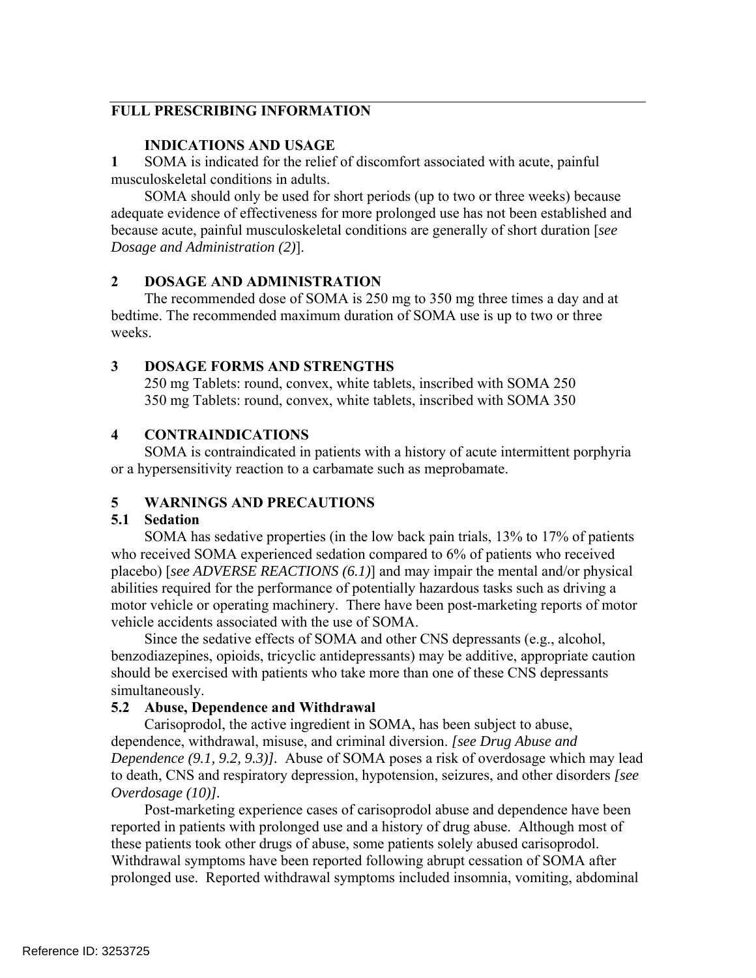# **FULL PRESCRIBING INFORMATION**

### **INDICATIONS AND USAGE**

 $\mathbf{1}$ **1** SOMA is indicated for the relief of discomfort associated with acute, painful musculoskeletal conditions in adults.

SOMA should only be used for short periods (up to two or three weeks) because adequate evidence of effectiveness for more prolonged use has not been established and because acute, painful musculoskeletal conditions are generally of short duration [*see Dosage and Administration (2)*].

# **2 DOSAGE AND ADMINISTRATION**

The recommended dose of SOMA is 250 mg to 350 mg three times a day and at bedtime. The recommended maximum duration of SOMA use is up to two or three weeks.

### **3 DOSAGE FORMS AND STRENGTHS**

250 mg Tablets: round, convex, white tablets, inscribed with SOMA 250 350 mg Tablets: round, convex, white tablets, inscribed with SOMA 350

# **4 CONTRAINDICATIONS**

SOMA is contraindicated in patients with a history of acute intermittent porphyria or a hypersensitivity reaction to a carbamate such as meprobamate.

# **5 WARNINGS AND PRECAUTIONS**

### **5.1 Sedation**

SOMA has sedative properties (in the low back pain trials, 13% to 17% of patients who received SOMA experienced sedation compared to 6% of patients who received placebo) [*see ADVERSE REACTIONS (6.1)*] and may impair the mental and/or physical abilities required for the performance of potentially hazardous tasks such as driving a motor vehicle or operating machinery. There have been post-marketing reports of motor vehicle accidents associated with the use of SOMA.

Since the sedative effects of SOMA and other CNS depressants (e.g., alcohol, benzodiazepines, opioids, tricyclic antidepressants) may be additive, appropriate caution should be exercised with patients who take more than one of these CNS depressants simultaneously.

### **5.2 Abuse, Dependence and Withdrawal**

Carisoprodol, the active ingredient in SOMA, has been subject to abuse, dependence, withdrawal, misuse, and criminal diversion. *[see Drug Abuse and Dependence (9.1, 9.2, 9.3)].* Abuse of SOMA poses a risk of overdosage which may lead to death, CNS and respiratory depression, hypotension, seizures, and other disorders *[see Overdosage (10)].* 

Post-marketing experience cases of carisoprodol abuse and dependence have been reported in patients with prolonged use and a history of drug abuse. Although most of these patients took other drugs of abuse, some patients solely abused carisoprodol. Withdrawal symptoms have been reported following abrupt cessation of SOMA after prolonged use. Reported withdrawal symptoms included insomnia, vomiting, abdominal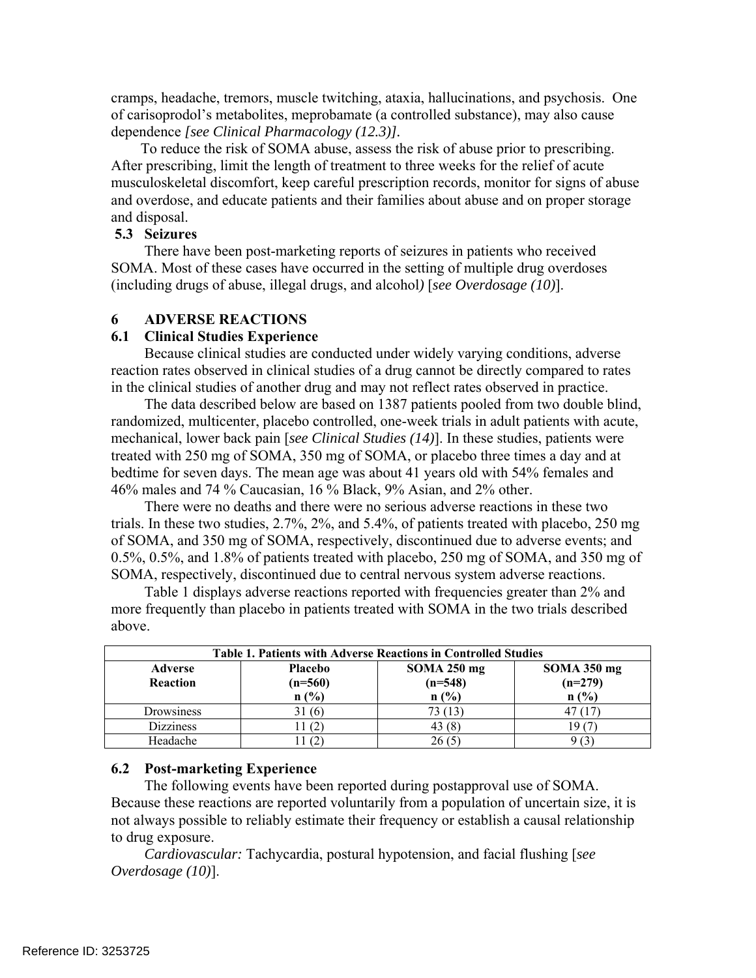cramps, headache, tremors, muscle twitching, ataxia, hallucinations, and psychosis. One of carisoprodol's metabolites, meprobamate (a controlled substance), may also cause dependence *[see Clinical Pharmacology (12.3)].* 

 To reduce the risk of SOMA abuse, assess the risk of abuse prior to prescribing. After prescribing, limit the length of treatment to three weeks for the relief of acute musculoskeletal discomfort, keep careful prescription records, monitor for signs of abuse and overdose, and educate patients and their families about abuse and on proper storage and disposal.

#### **5.3 Seizures**

There have been post-marketing reports of seizures in patients who received SOMA. Most of these cases have occurred in the setting of multiple drug overdoses (including drugs of abuse, illegal drugs, and alcohol*)* [*see Overdosage (10)*].

### **6 ADVERSE REACTIONS**

### **6.1 Clinical Studies Experience**

 Because clinical studies are conducted under widely varying conditions, adverse reaction rates observed in clinical studies of a drug cannot be directly compared to rates in the clinical studies of another drug and may not reflect rates observed in practice.

The data described below are based on 1387 patients pooled from two double blind, randomized, multicenter, placebo controlled, one-week trials in adult patients with acute, mechanical, lower back pain [*see Clinical Studies (14)*]. In these studies, patients were treated with 250 mg of SOMA, 350 mg of SOMA, or placebo three times a day and at bedtime for seven days. The mean age was about 41 years old with 54% females and 46% males and 74 % Caucasian, 16 % Black, 9% Asian, and 2% other.

There were no deaths and there were no serious adverse reactions in these two trials. In these two studies, 2.7%, 2%, and 5.4%, of patients treated with placebo, 250 mg of SOMA, and 350 mg of SOMA, respectively, discontinued due to adverse events; and 0.5%, 0.5%, and 1.8% of patients treated with placebo, 250 mg of SOMA, and 350 mg of SOMA, respectively, discontinued due to central nervous system adverse reactions.

Table 1 displays adverse reactions reported with frequencies greater than 2% and more frequently than placebo in patients treated with SOMA in the two trials described above.

| <b>Table 1. Patients with Adverse Reactions in Controlled Studies</b> |                |                                     |           |  |  |  |
|-----------------------------------------------------------------------|----------------|-------------------------------------|-----------|--|--|--|
| <b>Adverse</b>                                                        | <b>Placebo</b> | <b>SOMA 250 mg</b><br>$SOMA$ 350 mg |           |  |  |  |
| <b>Reaction</b>                                                       | $(n=560)$      | $(n=548)$                           | $(n=279)$ |  |  |  |
|                                                                       | n(%)           | n(%)                                | n(%)      |  |  |  |
| Drowsiness                                                            | 31 (6)         |                                     |           |  |  |  |
| <b>Dizziness</b>                                                      |                | 43(8)                               |           |  |  |  |
| Headache                                                              |                | 26 (5                               |           |  |  |  |

### **6.2 Post-marketing Experience**

The following events have been reported during postapproval use of SOMA. Because these reactions are reported voluntarily from a population of uncertain size, it is not always possible to reliably estimate their frequency or establish a causal relationship to drug exposure.

 *Cardiovascular:* Tachycardia, postural hypotension, and facial flushing [*see Overdosage (10)*].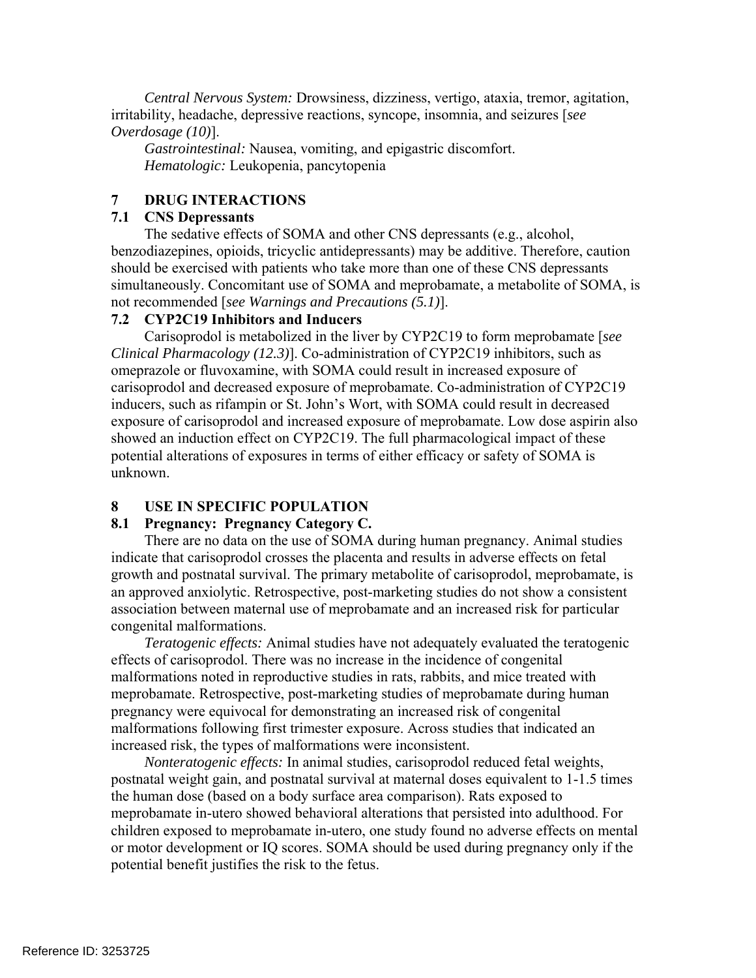*Central Nervous System:* Drowsiness, dizziness, vertigo, ataxia, tremor, agitation, irritability, headache, depressive reactions, syncope, insomnia, and seizures [*see Overdosage (10)*].

*Gastrointestinal:* Nausea, vomiting, and epigastric discomfort. *Hematologic:* Leukopenia, pancytopenia

# **7 DRUG INTERACTIONS**

# **7.1 CNS Depressants**

The sedative effects of SOMA and other CNS depressants (e.g., alcohol, benzodiazepines, opioids, tricyclic antidepressants) may be additive. Therefore, caution should be exercised with patients who take more than one of these CNS depressants simultaneously. Concomitant use of SOMA and meprobamate, a metabolite of SOMA, is not recommended [*see Warnings and Precautions (5.1)*].

### **7.2 CYP2C19 Inhibitors and Inducers**

Carisoprodol is metabolized in the liver by CYP2C19 to form meprobamate [*see Clinical Pharmacology (12.3)*]. Co-administration of CYP2C19 inhibitors, such as omeprazole or fluvoxamine, with SOMA could result in increased exposure of carisoprodol and decreased exposure of meprobamate. Co-administration of CYP2C19 inducers, such as rifampin or St. John's Wort, with SOMA could result in decreased exposure of carisoprodol and increased exposure of meprobamate. Low dose aspirin also showed an induction effect on CYP2C19. The full pharmacological impact of these potential alterations of exposures in terms of either efficacy or safety of SOMA is unknown.

# **8 USE IN SPECIFIC POPULATION**

# **8.1 Pregnancy: Pregnancy Category C.**

There are no data on the use of SOMA during human pregnancy. Animal studies indicate that carisoprodol crosses the placenta and results in adverse effects on fetal growth and postnatal survival. The primary metabolite of carisoprodol, meprobamate, is an approved anxiolytic. Retrospective, post-marketing studies do not show a consistent association between maternal use of meprobamate and an increased risk for particular congenital malformations.

*Teratogenic effects:* Animal studies have not adequately evaluated the teratogenic effects of carisoprodol. There was no increase in the incidence of congenital malformations noted in reproductive studies in rats, rabbits, and mice treated with meprobamate. Retrospective, post-marketing studies of meprobamate during human pregnancy were equivocal for demonstrating an increased risk of congenital malformations following first trimester exposure. Across studies that indicated an increased risk, the types of malformations were inconsistent.

*Nonteratogenic effects:* In animal studies, carisoprodol reduced fetal weights, postnatal weight gain, and postnatal survival at maternal doses equivalent to 1-1.5 times the human dose (based on a body surface area comparison). Rats exposed to meprobamate in-utero showed behavioral alterations that persisted into adulthood. For children exposed to meprobamate in-utero, one study found no adverse effects on mental or motor development or IQ scores. SOMA should be used during pregnancy only if the potential benefit justifies the risk to the fetus.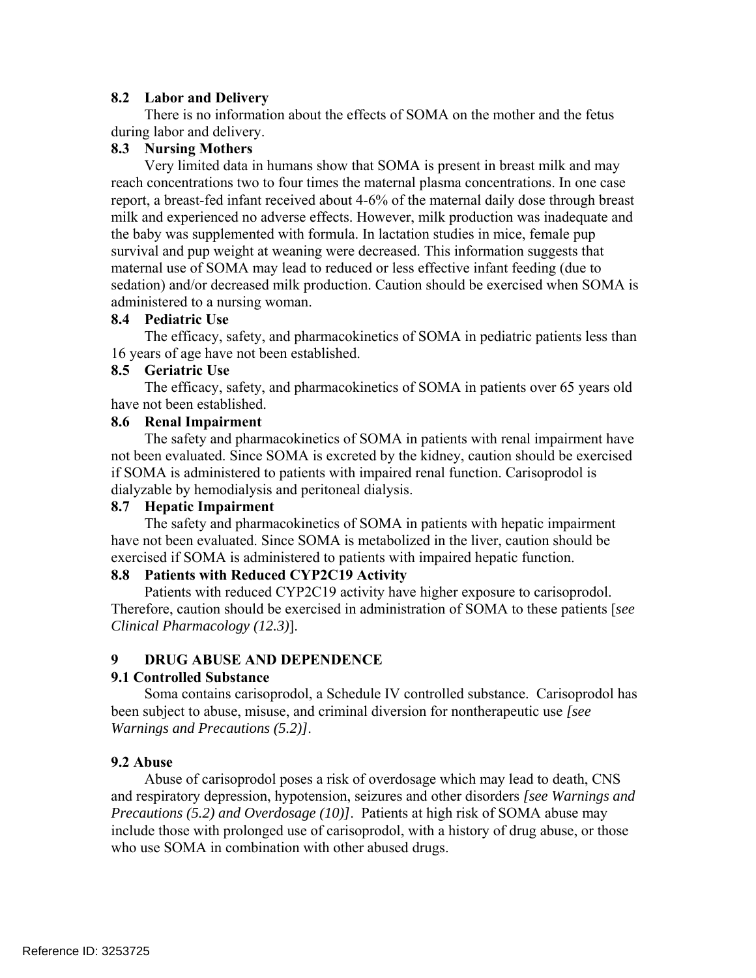# **8.2 Labor and Delivery**

There is no information about the effects of SOMA on the mother and the fetus during labor and delivery.

# **8.3 Nursing Mothers**

Very limited data in humans show that SOMA is present in breast milk and may reach concentrations two to four times the maternal plasma concentrations. In one case report, a breast-fed infant received about 4-6% of the maternal daily dose through breast milk and experienced no adverse effects. However, milk production was inadequate and the baby was supplemented with formula. In lactation studies in mice, female pup survival and pup weight at weaning were decreased. This information suggests that maternal use of SOMA may lead to reduced or less effective infant feeding (due to sedation) and/or decreased milk production. Caution should be exercised when SOMA is administered to a nursing woman.

### **8.4 Pediatric Use**

The efficacy, safety, and pharmacokinetics of SOMA in pediatric patients less than 16 years of age have not been established.

### **8.5 Geriatric Use**

The efficacy, safety, and pharmacokinetics of SOMA in patients over 65 years old have not been established.

# **8.6 Renal Impairment**

The safety and pharmacokinetics of SOMA in patients with renal impairment have not been evaluated. Since SOMA is excreted by the kidney, caution should be exercised if SOMA is administered to patients with impaired renal function. Carisoprodol is dialyzable by hemodialysis and peritoneal dialysis.

### **8.7 Hepatic Impairment**

The safety and pharmacokinetics of SOMA in patients with hepatic impairment have not been evaluated. Since SOMA is metabolized in the liver, caution should be exercised if SOMA is administered to patients with impaired hepatic function.

### **8.8 Patients with Reduced CYP2C19 Activity**

Patients with reduced CYP2C19 activity have higher exposure to carisoprodol. Therefore, caution should be exercised in administration of SOMA to these patients [*see Clinical Pharmacology (12.3)*].

# **9 DRUG ABUSE AND DEPENDENCE**

# **9.1 Controlled Substance**

Soma contains carisoprodol, a Schedule IV controlled substance. Carisoprodol has been subject to abuse, misuse, and criminal diversion for nontherapeutic use *[see Warnings and Precautions (5.2)]*.

### **9.2 Abuse**

Abuse of carisoprodol poses a risk of overdosage which may lead to death, CNS and respiratory depression, hypotension, seizures and other disorders *[see Warnings and Precautions (5.2) and Overdosage (10)]*. Patients at high risk of SOMA abuse may include those with prolonged use of carisoprodol, with a history of drug abuse, or those who use SOMA in combination with other abused drugs.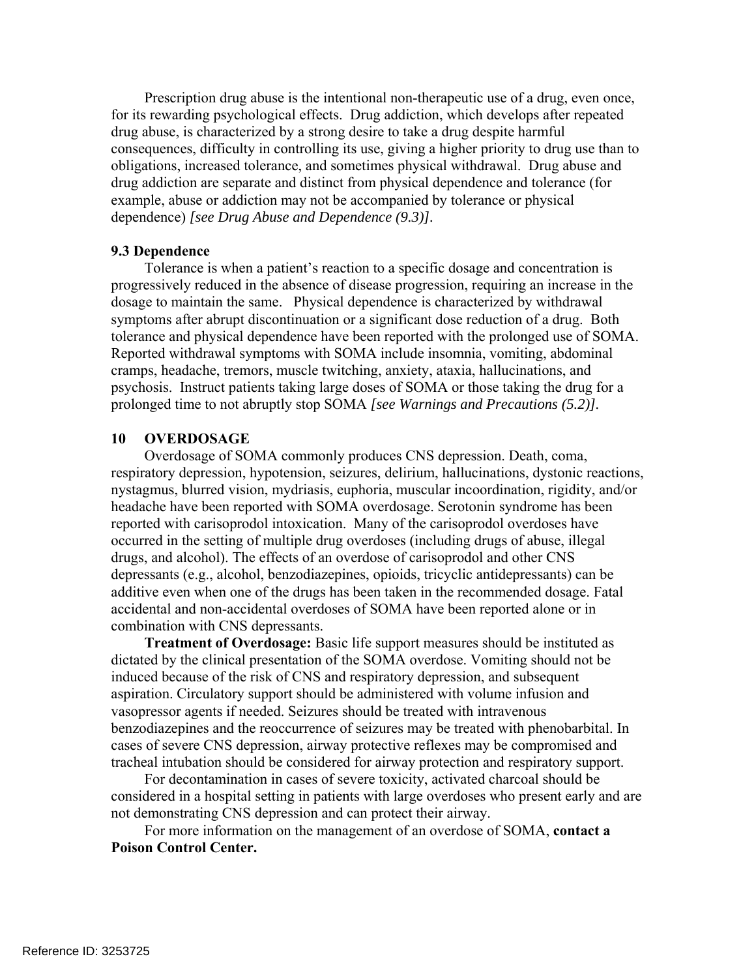Prescription drug abuse is the intentional non-therapeutic use of a drug, even once, for its rewarding psychological effects. Drug addiction, which develops after repeated drug abuse, is characterized by a strong desire to take a drug despite harmful consequences, difficulty in controlling its use, giving a higher priority to drug use than to obligations, increased tolerance, and sometimes physical withdrawal. Drug abuse and drug addiction are separate and distinct from physical dependence and tolerance (for example, abuse or addiction may not be accompanied by tolerance or physical dependence) *[see Drug Abuse and Dependence (9.3)].* 

#### **9.3 Dependence**

Tolerance is when a patient's reaction to a specific dosage and concentration is progressively reduced in the absence of disease progression, requiring an increase in the dosage to maintain the same. Physical dependence is characterized by withdrawal symptoms after abrupt discontinuation or a significant dose reduction of a drug. Both tolerance and physical dependence have been reported with the prolonged use of SOMA. Reported withdrawal symptoms with SOMA include insomnia, vomiting, abdominal cramps, headache, tremors, muscle twitching, anxiety, ataxia, hallucinations, and psychosis. Instruct patients taking large doses of SOMA or those taking the drug for a prolonged time to not abruptly stop SOMA *[see Warnings and Precautions (5.2)].* 

#### **10 OVERDOSAGE**

Overdosage of SOMA commonly produces CNS depression. Death, coma, respiratory depression, hypotension, seizures, delirium, hallucinations, dystonic reactions, nystagmus, blurred vision, mydriasis, euphoria, muscular incoordination, rigidity, and/or headache have been reported with SOMA overdosage. Serotonin syndrome has been reported with carisoprodol intoxication. Many of the carisoprodol overdoses have occurred in the setting of multiple drug overdoses (including drugs of abuse, illegal drugs, and alcohol). The effects of an overdose of carisoprodol and other CNS depressants (e.g., alcohol, benzodiazepines, opioids, tricyclic antidepressants) can be additive even when one of the drugs has been taken in the recommended dosage. Fatal accidental and non-accidental overdoses of SOMA have been reported alone or in combination with CNS depressants.

 **Treatment of Overdosage:** Basic life support measures should be instituted as dictated by the clinical presentation of the SOMA overdose. Vomiting should not be induced because of the risk of CNS and respiratory depression, and subsequent aspiration. Circulatory support should be administered with volume infusion and vasopressor agents if needed. Seizures should be treated with intravenous benzodiazepines and the reoccurrence of seizures may be treated with phenobarbital. In cases of severe CNS depression, airway protective reflexes may be compromised and tracheal intubation should be considered for airway protection and respiratory support.

For decontamination in cases of severe toxicity, activated charcoal should be considered in a hospital setting in patients with large overdoses who present early and are not demonstrating CNS depression and can protect their airway.

For more information on the management of an overdose of SOMA, **contact a Poison Control Center.**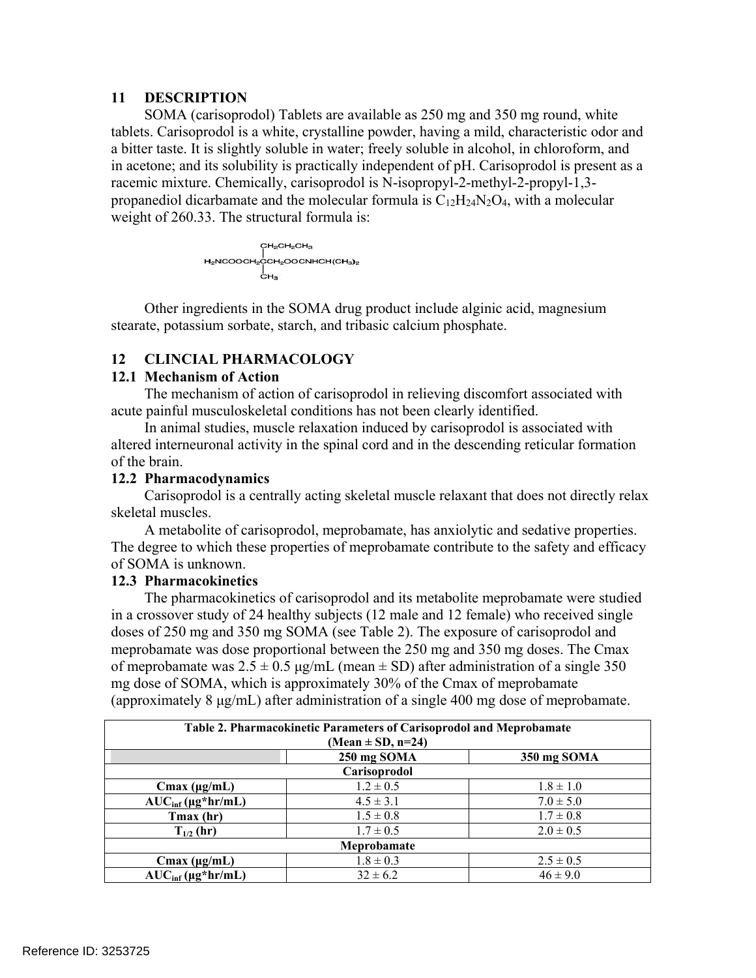# **11 DESCRIPTION**

SOMA (carisoprodol) Tablets are available as 250 mg and 350 mg round, white tablets. Carisoprodol is a white, crystalline powder, having a mild, characteristic odor and a bitter taste. It is slightly soluble in water; freely soluble in alcohol, in chloroform, and in acetone; and its solubility is practically independent of pH. Carisoprodol is present as a racemic mixture. Chemically, carisoprodol is N-isopropyl-2-methyl-2-propyl-1,3 propanediol dicarbamate and the molecular formula is  $C_{12}H_{24}N_2O_4$ , with a molecular weight of 260.33. The structural formula is:

$$
H_2NCOOCH_2CH_2CH_3
$$
\n
$$
H_2NCOOCH_2COCH_2OOCNHCH(CH_3)_2
$$
\n
$$
CH_3
$$

Other ingredients in the SOMA drug product include alginic acid, magnesium stearate, potassium sorbate, starch, and tribasic calcium phosphate.

# **12 CLINCIAL PHARMACOLOGY**

### **12.1 Mechanism of Action**

The mechanism of action of carisoprodol in relieving discomfort associated with acute painful musculoskeletal conditions has not been clearly identified.

In animal studies, muscle relaxation induced by carisoprodol is associated with altered interneuronal activity in the spinal cord and in the descending reticular formation of the brain.

# **12.2 Pharmacodynamics**

Carisoprodol is a centrally acting skeletal muscle relaxant that does not directly relax skeletal muscles.

A metabolite of carisoprodol, meprobamate, has anxiolytic and sedative properties. The degree to which these properties of meprobamate contribute to the safety and efficacy of SOMA is unknown.

### **12.3 Pharmacokinetics**

The pharmacokinetics of carisoprodol and its metabolite meprobamate were studied in a crossover study of 24 healthy subjects (12 male and 12 female) who received single doses of 250 mg and 350 mg SOMA (see Table 2). The exposure of carisoprodol and meprobamate was dose proportional between the 250 mg and 350 mg doses. The Cmax of meprobamate was  $2.5 \pm 0.5$  μg/mL (mean  $\pm$  SD) after administration of a single 350 mg dose of SOMA, which is approximately 30% of the Cmax of meprobamate (approximately 8 μg/mL) after administration of a single 400 mg dose of meprobamate.

| Table 2. Pharmacokinetic Parameters of Carisoprodol and Meprobamate<br>$(Mean \pm SD, n=24)$ |               |               |  |  |  |  |
|----------------------------------------------------------------------------------------------|---------------|---------------|--|--|--|--|
|                                                                                              | 250 mg SOMA   | 350 mg SOMA   |  |  |  |  |
| Carisoprodol                                                                                 |               |               |  |  |  |  |
| Cmax $(\mu g/mL)$                                                                            | $1.2 \pm 0.5$ | $1.8 \pm 1.0$ |  |  |  |  |
| $AUC_{inf} (\mu g^* hr/mL)$                                                                  | $4.5 \pm 3.1$ | $7.0 \pm 5.0$ |  |  |  |  |
| Tmax (hr)                                                                                    | $1.5 \pm 0.8$ | $1.7 \pm 0.8$ |  |  |  |  |
| $T_{1/2}$ (hr)                                                                               | $1.7 \pm 0.5$ | $2.0 \pm 0.5$ |  |  |  |  |
| Meprobamate                                                                                  |               |               |  |  |  |  |
| Cmax ( $\mu$ g/mL)                                                                           | $1.8 \pm 0.3$ | $2.5 \pm 0.5$ |  |  |  |  |
| $AUC_{inf}$ (µg*hr/mL)                                                                       | $32 \pm 6.2$  | $46 \pm 9.0$  |  |  |  |  |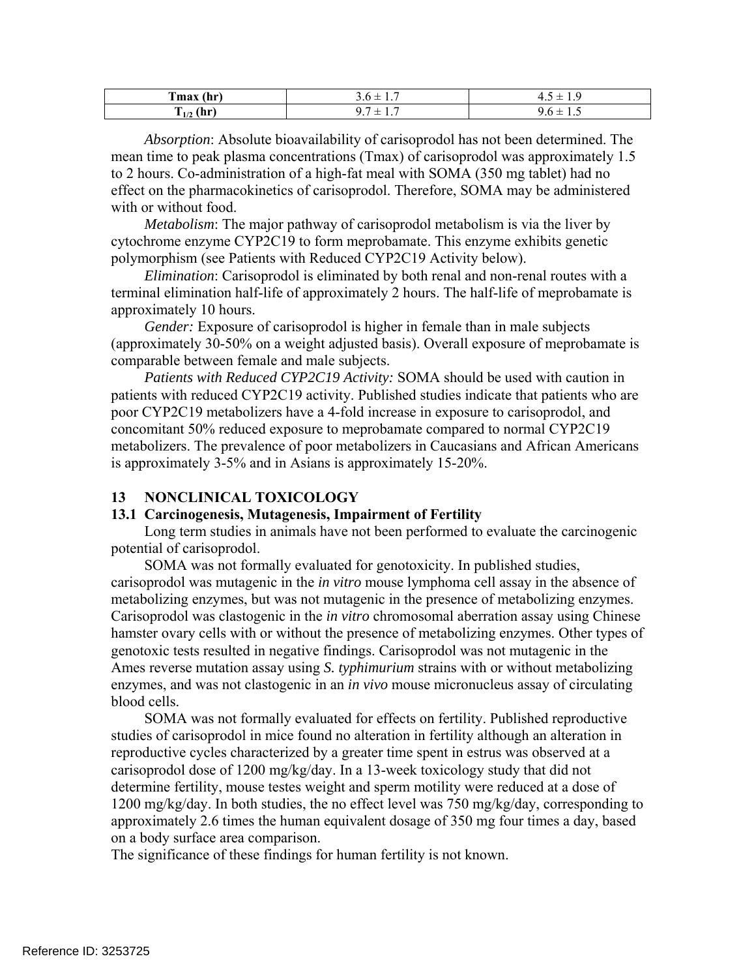| $\sim$                       | $\overline{\phantom{a}}$ | <b>-</b>                                |
|------------------------------|--------------------------|-----------------------------------------|
| Tmax                         | .                        | τ.                                      |
| (hr                          | <u>.</u>                 | .                                       |
| $\mathbf{a}$<br><br>.<br>1/2 | -<br>—<br>.              | ี∙.∪<br>$\overline{\phantom{a}}$<br>⊥.√ |

*Absorption*: Absolute bioavailability of carisoprodol has not been determined. The mean time to peak plasma concentrations (Tmax) of carisoprodol was approximately 1.5 to 2 hours. Co-administration of a high-fat meal with SOMA (350 mg tablet) had no effect on the pharmacokinetics of carisoprodol. Therefore, SOMA may be administered with or without food.

 *Metabolism*: The major pathway of carisoprodol metabolism is via the liver by cytochrome enzyme CYP2C19 to form meprobamate. This enzyme exhibits genetic polymorphism (see Patients with Reduced CYP2C19 Activity below).

approximately 10 hours. *Elimination*: Carisoprodol is eliminated by both renal and non-renal routes with a terminal elimination half-life of approximately 2 hours. The half-life of meprobamate is

*Gender:* Exposure of carisoprodol is higher in female than in male subjects (approximately 30-50% on a weight adjusted basis). Overall exposure of meprobamate is comparable between female and male subjects.

*Patients with Reduced CYP2C19 Activity:* SOMA should be used with caution in patients with reduced CYP2C19 activity. Published studies indicate that patients who are poor CYP2C19 metabolizers have a 4-fold increase in exposure to carisoprodol, and concomitant 50% reduced exposure to meprobamate compared to normal CYP2C19 metabolizers. The prevalence of poor metabolizers in Caucasians and African Americans is approximately 3-5% and in Asians is approximately 15-20%.

### **13 NONCLINICAL TOXICOLOGY**

#### **13.1 Carcinogenesis, Mutagenesis, Impairment of Fertility**

Long term studies in animals have not been performed to evaluate the carcinogenic potential of carisoprodol.

SOMA was not formally evaluated for genotoxicity. In published studies, carisoprodol was mutagenic in the *in vitro* mouse lymphoma cell assay in the absence of metabolizing enzymes, but was not mutagenic in the presence of metabolizing enzymes. Carisoprodol was clastogenic in the *in vitro* chromosomal aberration assay using Chinese hamster ovary cells with or without the presence of metabolizing enzymes. Other types of genotoxic tests resulted in negative findings. Carisoprodol was not mutagenic in the Ames reverse mutation assay using *S. typhimurium* strains with or without metabolizing enzymes, and was not clastogenic in an *in vivo* mouse micronucleus assay of circulating blood cells.

SOMA was not formally evaluated for effects on fertility. Published reproductive studies of carisoprodol in mice found no alteration in fertility although an alteration in reproductive cycles characterized by a greater time spent in estrus was observed at a carisoprodol dose of 1200 mg/kg/day. In a 13-week toxicology study that did not determine fertility, mouse testes weight and sperm motility were reduced at a dose of 1200 mg/kg/day. In both studies, the no effect level was 750 mg/kg/day, corresponding to approximately 2.6 times the human equivalent dosage of 350 mg four times a day, based on a body surface area comparison.

The significance of these findings for human fertility is not known.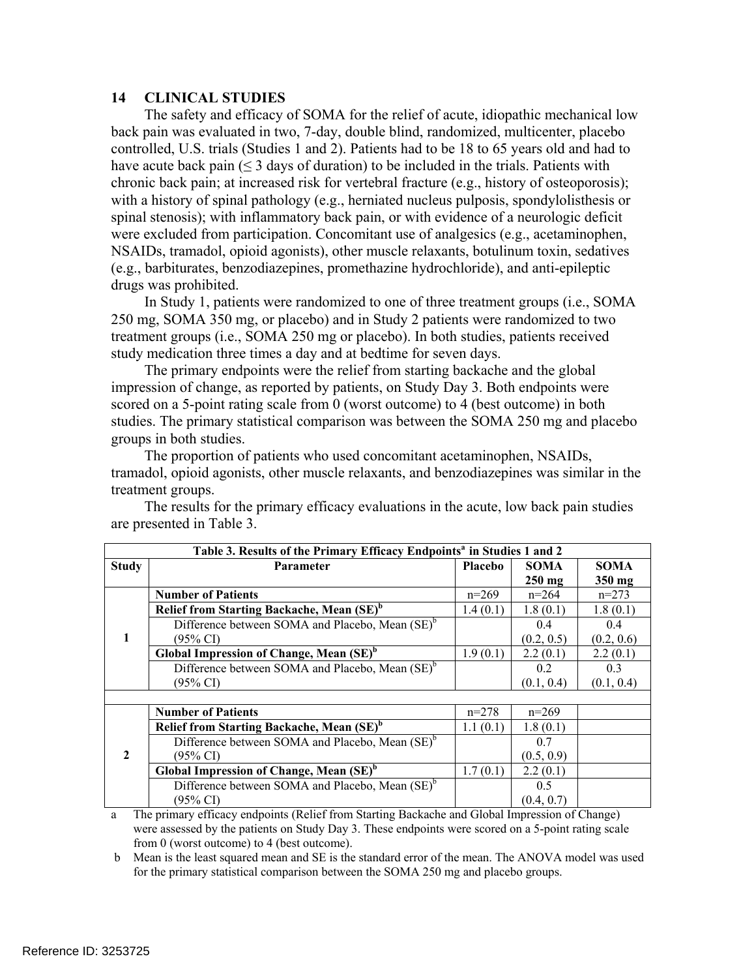### **14 CLINICAL STUDIES**

The safety and efficacy of SOMA for the relief of acute, idiopathic mechanical low back pain was evaluated in two, 7-day, double blind, randomized, multicenter, placebo controlled, U.S. trials (Studies 1 and 2). Patients had to be 18 to 65 years old and had to have acute back pain (< 3 days of duration) to be included in the trials. Patients with chronic back pain; at increased risk for vertebral fracture (e.g., history of osteoporosis); with a history of spinal pathology (e.g., herniated nucleus pulposis, spondylolisthesis or spinal stenosis); with inflammatory back pain, or with evidence of a neurologic deficit were excluded from participation. Concomitant use of analgesics (e.g., acetaminophen, NSAIDs, tramadol, opioid agonists), other muscle relaxants, botulinum toxin, sedatives (e.g., barbiturates, benzodiazepines, promethazine hydrochloride), and anti-epileptic drugs was prohibited.

In Study 1, patients were randomized to one of three treatment groups (i.e., SOMA 250 mg, SOMA 350 mg, or placebo) and in Study 2 patients were randomized to two treatment groups (i.e., SOMA 250 mg or placebo). In both studies, patients received study medication three times a day and at bedtime for seven days.

The primary endpoints were the relief from starting backache and the global impression of change, as reported by patients, on Study Day 3. Both endpoints were scored on a 5-point rating scale from 0 (worst outcome) to 4 (best outcome) in both studies. The primary statistical comparison was between the SOMA 250 mg and placebo groups in both studies.

The proportion of patients who used concomitant acetaminophen, NSAIDs, tramadol, opioid agonists, other muscle relaxants, and benzodiazepines was similar in the treatment groups.

| Table 3. Results of the Primary Efficacy Endpoints <sup>a</sup> in Studies 1 and 2 |                                                             |          |                  |             |  |  |
|------------------------------------------------------------------------------------|-------------------------------------------------------------|----------|------------------|-------------|--|--|
| <b>Study</b>                                                                       | <b>Parameter</b>                                            | Placebo  | <b>SOMA</b>      | <b>SOMA</b> |  |  |
|                                                                                    |                                                             |          | $250 \text{ mg}$ | 350 mg      |  |  |
| 1                                                                                  | <b>Number of Patients</b>                                   | $n=269$  | $n=264$          | $n=273$     |  |  |
|                                                                                    | Relief from Starting Backache, Mean (SE) <sup>b</sup>       | 1.4(0.1) | 1.8(0.1)         | 1.8(0.1)    |  |  |
|                                                                                    | Difference between SOMA and Placebo, Mean (SE) <sup>b</sup> |          | 0.4              | 0.4         |  |  |
|                                                                                    | $(95\% \text{ CI})$                                         |          | (0.2, 0.5)       | (0.2, 0.6)  |  |  |
|                                                                                    | Global Impression of Change, Mean (SE) <sup>b</sup>         | 1.9(0.1) | 2.2(0.1)         | 2.2(0.1)    |  |  |
|                                                                                    | Difference between SOMA and Placebo, Mean (SE) <sup>b</sup> |          | 0.2              | 0.3         |  |  |
|                                                                                    | (95% CI)                                                    |          | (0.1, 0.4)       | (0.1, 0.4)  |  |  |
|                                                                                    |                                                             |          |                  |             |  |  |
| $\overline{2}$                                                                     | <b>Number of Patients</b>                                   | $n=278$  | $n=269$          |             |  |  |
|                                                                                    | Relief from Starting Backache, Mean (SE) <sup>b</sup>       | 1.1(0.1) | 1.8(0.1)         |             |  |  |
|                                                                                    | Difference between SOMA and Placebo, Mean (SE) <sup>b</sup> |          | 0.7              |             |  |  |
|                                                                                    | (95% CI)                                                    |          | (0.5, 0.9)       |             |  |  |
|                                                                                    | Global Impression of Change, Mean (SE) <sup>b</sup>         | 1.7(0.1) | 2.2(0.1)         |             |  |  |
|                                                                                    | Difference between SOMA and Placebo, Mean (SE) <sup>b</sup> |          | 0.5              |             |  |  |
|                                                                                    | (95% CI)                                                    |          | (0.4, 0.7)       |             |  |  |

The results for the primary efficacy evaluations in the acute, low back pain studies are presented in Table 3.

 were assessed by the patients on Study Day 3. These endpoints were scored on a 5-point rating scale a The primary efficacy endpoints (Relief from Starting Backache and Global Impression of Change) from 0 (worst outcome) to 4 (best outcome).

b Mean is the least squared mean and SE is the standard error of the mean. The ANOVA model was used for the primary statistical comparison between the SOMA 250 mg and placebo groups.